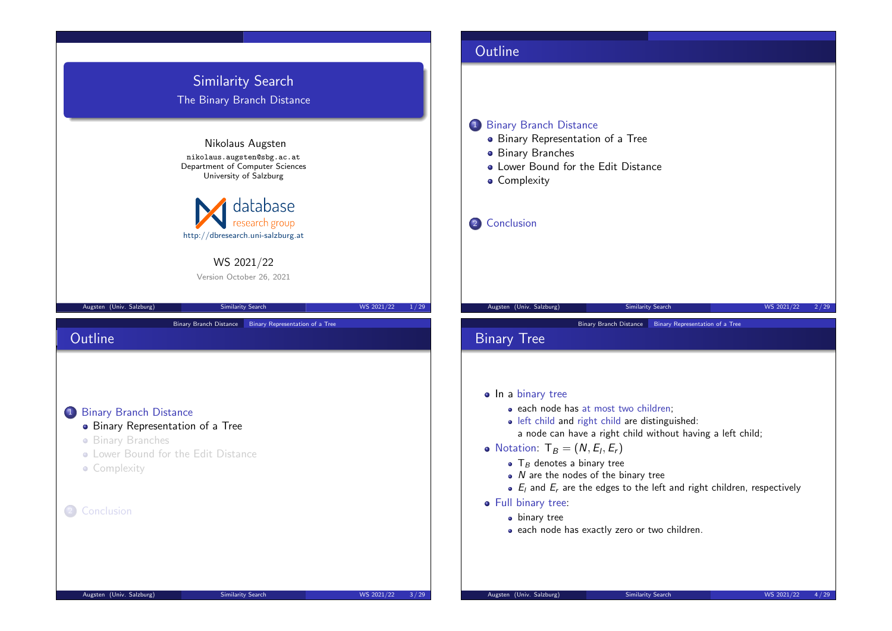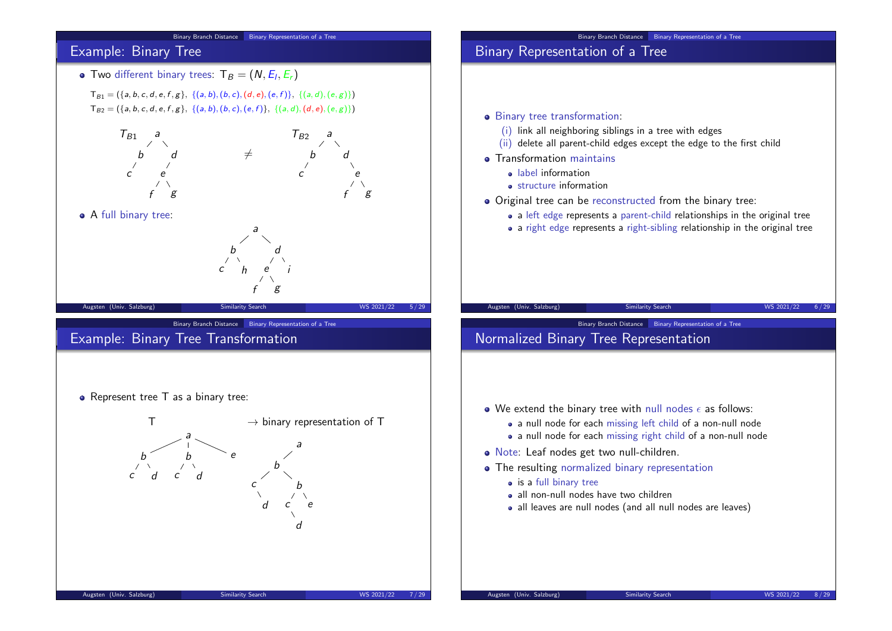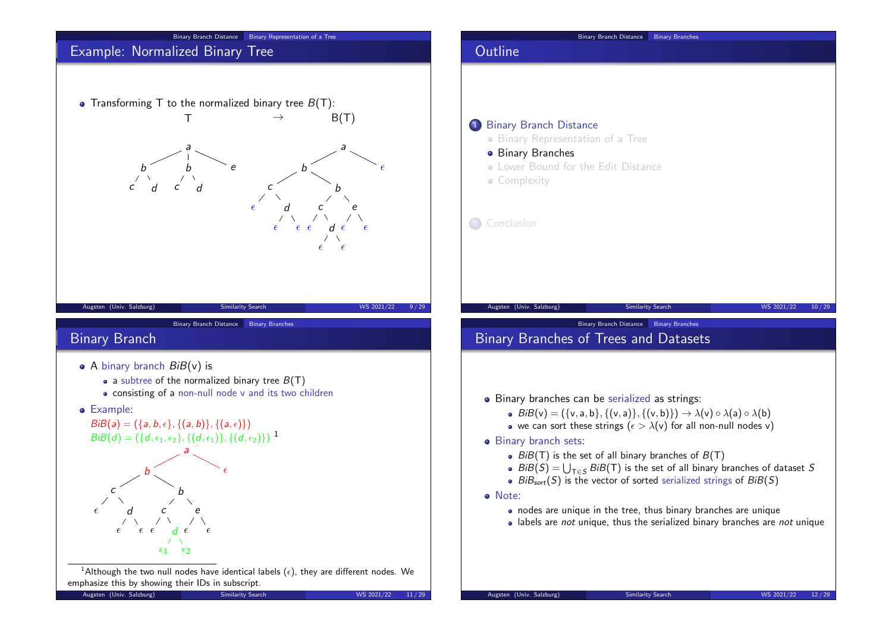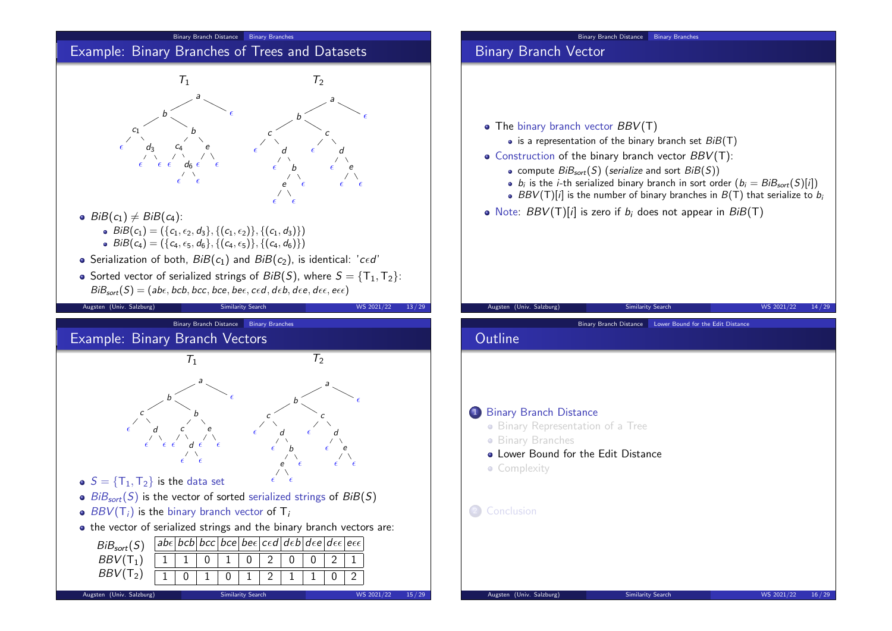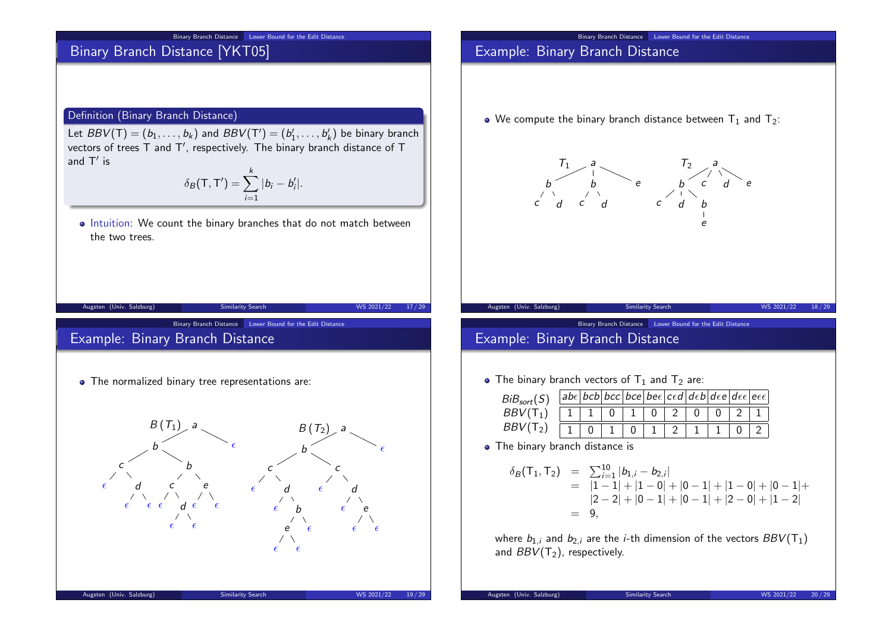#### Binary Branch Distance Lower Bound for the Edit Distance

# Binary Branch Distance [YKT05]

#### Definition (Binary Branch Distance)

Let  $BBV(T) = (b_1, \ldots, b_k)$  and  $BBV(T') = (b'_1, \ldots, b'_k)$  be binary branch vectors of trees T and T', respectively. The binary branch distance of T and  $\mathsf{T}'$  is

$$
\delta_B(\mathsf{T},\mathsf{T}')=\sum_{i=1}^k|b_i-b'_i|.
$$

• Intuition: We count the binary branches that do not match between the two trees.

| Augsten (Univ. Salzburg)                                                                                          | Similarity Search                                                                                                            | WS 2021/22<br>17/29                                                                             |
|-------------------------------------------------------------------------------------------------------------------|------------------------------------------------------------------------------------------------------------------------------|-------------------------------------------------------------------------------------------------|
| Example: Binary Branch Distance                                                                                   | Binary Branch Distance<br>Lower Bound for the Edit Distance                                                                  |                                                                                                 |
|                                                                                                                   | • The normalized binary tree representations are:                                                                            |                                                                                                 |
| $B(T_1)$<br>b<br>C<br>$\epsilon$<br>d<br>$\epsilon$ $\epsilon$ $\epsilon$ $d$ $\epsilon$ $\epsilon$<br>$\epsilon$ | a<br>$\epsilon$<br>b<br>b<br>$\epsilon$<br>$\epsilon$<br>d<br>$\epsilon$<br>b<br>$\epsilon$<br>e<br>$\epsilon$<br>$\epsilon$ | $B(T_2)$<br>a<br>€<br>$\epsilon$<br>d<br>$\epsilon$ e<br>$\epsilon$<br>$\epsilon$<br>$\epsilon$ |
| Augsten (Univ. Salzburg)                                                                                          | Similarity Search                                                                                                            | WS 2021/22<br>19/29                                                                             |

### Example: Binary Branch Distance

• We compute the binary branch distance between  $T_1$  and  $T_2$ :



Binary Branch Distance Lower Bound for the Edit Distance

Binary Branch Distance Lower Bound for the Edit Distance

## Example: Binary Branch Distance

• The binary branch vectors of  $T_1$  and  $T_2$  are:

| BiB <sub>sort</sub> (S) |  |  |  | $ abc bcb bcc bce bec c\epsilon c\epsilon d\epsilon b d\epsilon e d\epsilon\epsilon e\epsilon\epsilon $ |  |  |
|-------------------------|--|--|--|---------------------------------------------------------------------------------------------------------|--|--|
| $BBV(T_1)$              |  |  |  |                                                                                                         |  |  |
| BBV(T <sub>2</sub> )    |  |  |  |                                                                                                         |  |  |

• The binary branch distance is

$$
\delta_B(\mathsf{T}_1, \mathsf{T}_2) = \sum_{i=1}^{10} |b_{1,i} - b_{2,i}|
$$
  
=  $|1 - 1| + |1 - 0| + |0 - 1| + |1 - 0| + |0 - 1| +$   
=  $|2 - 2| + |0 - 1| + |0 - 1| + |2 - 0| + |1 - 2|$   
= 9,

where  $b_{1,i}$  and  $b_{2,i}$  are the *i*-th dimension of the vectors  $BBV(T_1)$ and  $BBV(T_2)$ , respectively.

Augsten (Univ. Salzburg) Similarity Search WS 2021/22 20/29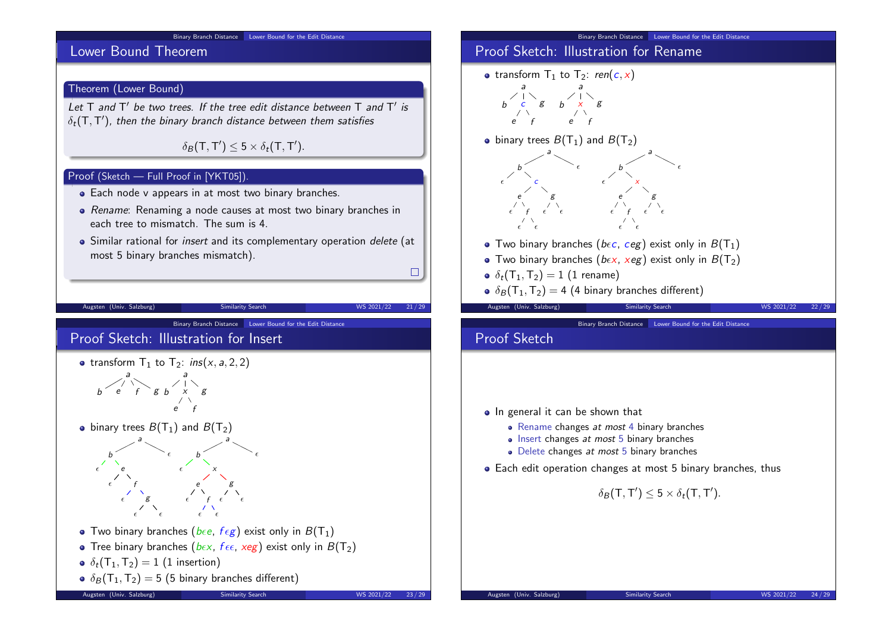

#### Proof Sketch: Illustration for Rename • transform  $T_1$  to  $T_2$ : ren(c, x) g a  $b \times$ e f g  $\bullet$  binary trees  $B(T_1)$  and  $B(T_2)$ a  $\epsilon$  c  $\epsilon$   $\epsilon$ g  $\epsilon \qquad \epsilon$  $\epsilon$ a b  $\epsilon$  x e  $\epsilon$  f  $\epsilon$   $\epsilon$ g  $\epsilon$   $\epsilon$  $\epsilon$ • Two binary branches ( $b \epsilon c$ ,  $c e g$ ) exist only in  $B(T_1)$ • Two binary branches ( $b \in x$ ,  $x e g$ ) exist only in  $B(T_2)$  $\delta_t(T_1,T_2) = 1$  (1 rename)  $\delta_B$  $(T_1, T_2) = 4$  (4 binary branches different) Augsten (Univ. Salzburg) Similarity Search WS 2021/22 22/29 Binary Branch Distance Lower Bound for the Edit Distance

Binary Branch Distance Lower Bound for the Edit Distance

• In general it can be shown that • Rename changes at most 4 binary branches • Insert changes at most 5 binary branches • Delete changes *at most* 5 binary branches Each edit operation changes at most 5 binary branches, thus  $\delta_B(\mathsf{T},\mathsf{T}')\leq 5\times \delta_t(\mathsf{T},\mathsf{T}').$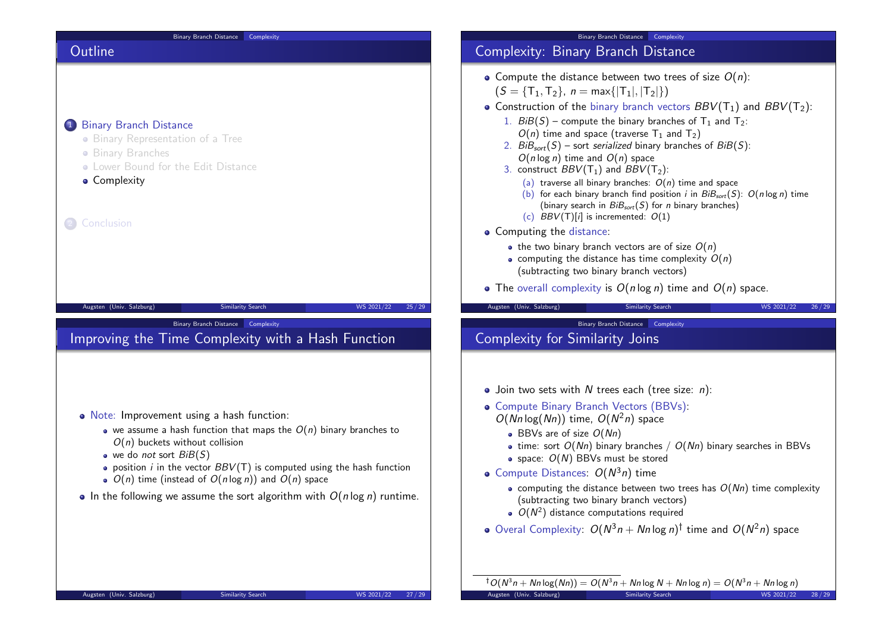